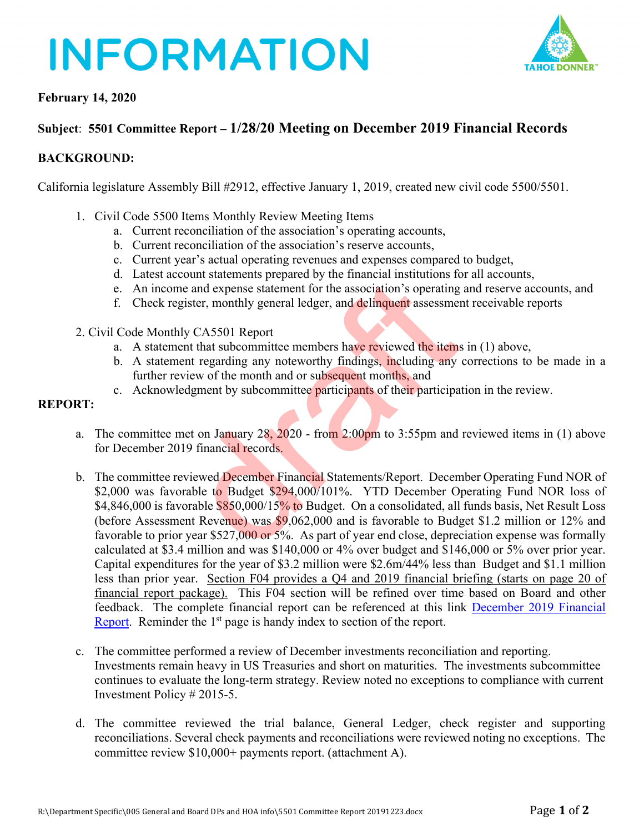# **INFORMATION**



## **February 14, 2020**

## **Subject**: **5501 Committee Report – 1/28/20 Meeting on December 2019 Financial Records**

### **BACKGROUND:**

California legislature Assembly Bill #2912, effective January 1, 2019, created new civil code 5500/5501.

- 1. Civil Code 5500 Items Monthly Review Meeting Items
	- a. Current reconciliation of the association's operating accounts,
	- b. Current reconciliation of the association's reserve accounts,
	- c. Current year's actual operating revenues and expenses compared to budget,
	- d. Latest account statements prepared by the financial institutions for all accounts,
	- e. An income and expense statement for the association's operating and reserve accounts, and
	- f. Check register, monthly general ledger, and delinquent assessment receivable reports
- 2. Civil Code Monthly CA5501 Report
	- a. A statement that subcommittee members have reviewed the items in (1) above,
	- b. A statement regarding any noteworthy findings, including any corrections to be made in a further review of the month and or subsequent months, and
	- c. Acknowledgment by subcommittee participants of their participation in the review.

### **REPORT:**

- a. The committee met on January  $28, 2020$  from  $2:00$  pm to 3:55 pm and reviewed items in (1) above for December 2019 financial records.
- b. The committee reviewed December Financial Statements/Report. December Operating Fund NOR of \$2,000 was favorable to Budget \$294,000/101%. YTD December Operating Fund NOR loss of \$4,846,000 is favorable \$850,000/15% to Budget. On a consolidated, all funds basis, Net Result Loss (before Assessment Revenue) was \$9,062,000 and is favorable to Budget \$1.2 million or 12% and favorable to prior year \$527,000 or 5%. As part of year end close, depreciation expense was formally calculated at \$3.4 million and was \$140,000 or 4% over budget and \$146,000 or 5% over prior year. Capital expenditures for the year of \$3.2 million were \$2.6m/44% less than Budget and \$1.1 million less than prior year. Section F04 provides a Q4 and 2019 financial briefing (starts on page 20 of financial report package). This F04 section will be refined over time based on Board and other feedback. The complete financial report can be referenced at this link December 2019 Financial Report. Reminder the  $1<sup>st</sup>$  page is handy index to section of the report. between the statements properties and experiments in each experiment for the association's operating<br>ister, monthly general ledger, and delinquent assessmes<br>we CA5501 Report<br>that subcommittee members have reviewed the ite
- c. The committee performed a review of December investments reconciliation and reporting. Investments remain heavy in US Treasuries and short on maturities. The investments subcommittee continues to evaluate the long-term strategy. Review noted no exceptions to compliance with current Investment Policy # 2015-5.
- d. The committee reviewed the trial balance, General Ledger, check register and supporting reconciliations. Several check payments and reconciliations were reviewed noting no exceptions. The committee review \$10,000+ payments report. (attachment A).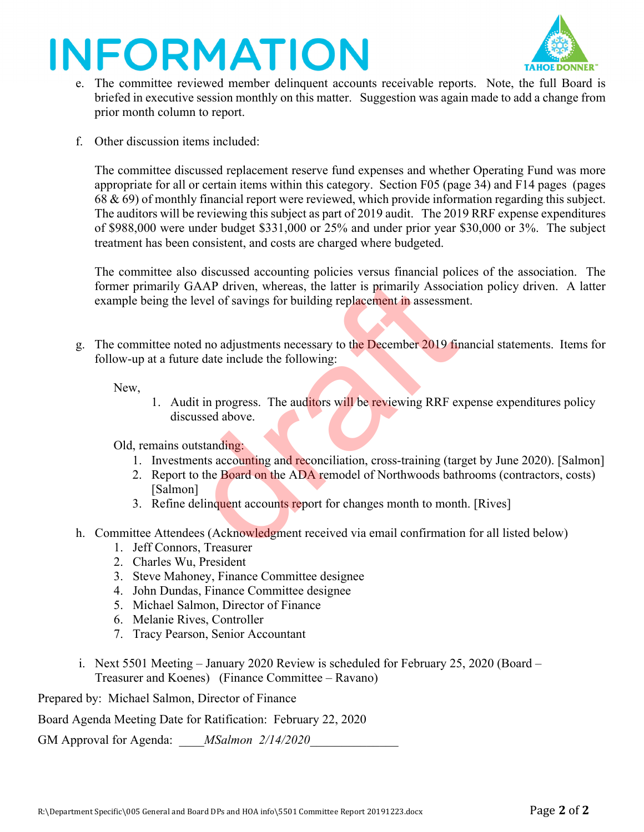# **INFORMATION**



- e. The committee reviewed member delinquent accounts receivable reports. Note, the full Board is briefed in executive session monthly on this matter. Suggestion was again made to add a change from prior month column to report.
- f. Other discussion items included:

The committee discussed replacement reserve fund expenses and whether Operating Fund was more appropriate for all or certain items within this category. Section F05 (page 34) and F14 pages (pages 68 & 69) of monthly financial report were reviewed, which provide information regarding this subject. The auditors will be reviewing this subject as part of 2019 audit. The 2019 RRF expense expenditures of \$988,000 were under budget \$331,000 or 25% and under prior year \$30,000 or 3%. The subject treatment has been consistent, and costs are charged where budgeted.

The committee also discussed accounting policies versus financial polices of the association. The former primarily GAAP driven, whereas, the latter is primarily Association policy driven. A latter example being the level of savings for building replacement in assessment. GAAP driven, whereas, the latter is primarily Associate level of savings for building replacement in assessme<br>e level of savings for building replacement in assessme<br>bted no adjustments necessary to the December 2019 fin<br>u

g. The committee noted no adjustments necessary to the December 2019 financial statements. Items for follow-up at a future date include the following:

New,

1. Audit in progress. The auditors will be reviewing RRF expense expenditures policy discussed above.

Old, remains outstanding:

- 1. Investments accounting and reconciliation, cross-training (target by June 2020). [Salmon]
- 2. Report to the Board on the ADA remodel of Northwoods bathrooms (contractors, costs) [Salmon]
- 3. Refine delinquent accounts report for changes month to month. [Rives]
- h. Committee Attendees (Acknowledgment received via email confirmation for all listed below)
	- 1. Jeff Connors, Treasurer
	- 2. Charles Wu, President
	- 3. Steve Mahoney, Finance Committee designee
	- 4. John Dundas, Finance Committee designee
	- 5. Michael Salmon, Director of Finance
	- 6. Melanie Rives, Controller
	- 7. Tracy Pearson, Senior Accountant
- i. Next 5501 Meeting January 2020 Review is scheduled for February 25, 2020 (Board Treasurer and Koenes) (Finance Committee – Ravano)

Prepared by: Michael Salmon, Director of Finance

Board Agenda Meeting Date for Ratification: February 22, 2020

GM Approval for Agenda: *MSalmon 2/14/2020*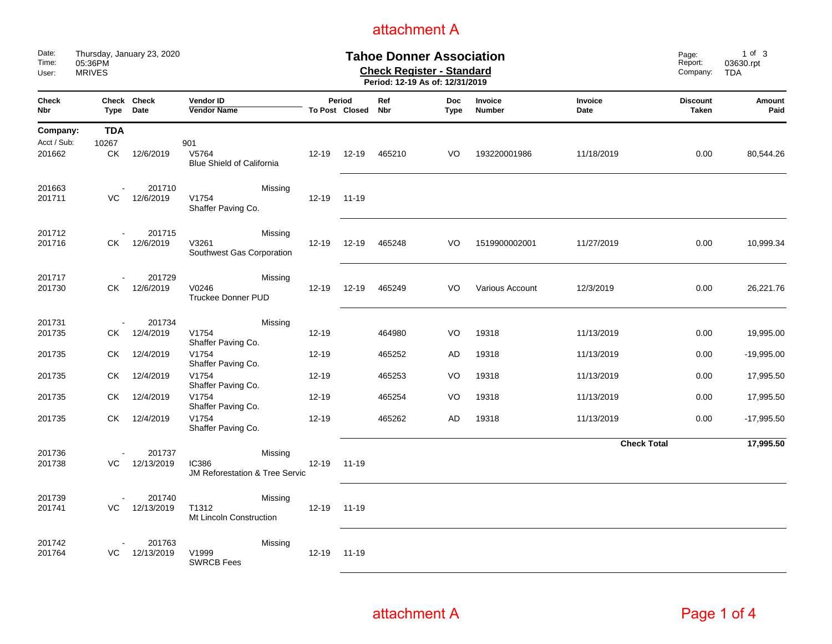| Date:<br>Time:<br>User:           | Thursday, January 23, 2020<br><b>Tahoe Donner Association</b><br>05:36PM<br><b>Check Register - Standard</b><br><b>MRIVES</b><br>Period: 12-19 As of: 12/31/2019 |                      |                                                                      |           |                          |                   |                           |                   | Page:<br>Report:<br>Company: | $1$ of $3$<br>03630.rpt<br><b>TDA</b> |                |
|-----------------------------------|------------------------------------------------------------------------------------------------------------------------------------------------------------------|----------------------|----------------------------------------------------------------------|-----------|--------------------------|-------------------|---------------------------|-------------------|------------------------------|---------------------------------------|----------------|
| Check<br><b>Nbr</b>               | Type                                                                                                                                                             | Check Check<br>Date  | Vendor ID<br><b>Vendor Name</b>                                      |           | Period<br>To Post Closed | Ref<br><b>Nbr</b> | <b>Doc</b><br><b>Type</b> | Invoice<br>Number | Invoice<br>Date              | <b>Discount</b><br><b>Taken</b>       | Amount<br>Paid |
| Company:<br>Acct / Sub:<br>201662 | <b>TDA</b><br>10267<br>CK                                                                                                                                        | 12/6/2019            | 901<br>V5764<br><b>Blue Shield of California</b>                     | $12 - 19$ | $12 - 19$                | 465210            | VO                        | 193220001986      | 11/18/2019                   | 0.00                                  | 80,544.26      |
| 201663<br>201711                  | VC                                                                                                                                                               | 201710<br>12/6/2019  | Missing<br>V1754<br>Shaffer Paving Co.                               | $12 - 19$ | $11 - 19$                |                   |                           |                   |                              |                                       |                |
| 201712<br>201716                  | CK.                                                                                                                                                              | 201715<br>12/6/2019  | Missing<br>V3261<br>Southwest Gas Corporation                        | $12 - 19$ | $12 - 19$                | 465248            | VO                        | 1519900002001     | 11/27/2019                   | 0.00                                  | 10,999.34      |
| 201717<br>201730                  | СK                                                                                                                                                               | 201729<br>12/6/2019  | Missing<br>V0246<br><b>Truckee Donner PUD</b>                        | $12 - 19$ | $12 - 19$                | 465249            | VO                        | Various Account   | 12/3/2019                    | 0.00                                  | 26,221.76      |
| 201731<br>201735                  | СK                                                                                                                                                               | 201734<br>12/4/2019  | Missing<br>V1754<br>Shaffer Paving Co.                               | $12 - 19$ |                          | 464980            | VO                        | 19318             | 11/13/2019                   | 0.00                                  | 19,995.00      |
| 201735                            | СK                                                                                                                                                               | 12/4/2019            | V1754<br>Shaffer Paving Co.                                          | $12 - 19$ |                          | 465252            | AD                        | 19318             | 11/13/2019                   | 0.00                                  | $-19,995.00$   |
| 201735                            | СK                                                                                                                                                               | 12/4/2019            | V1754<br>Shaffer Paving Co.                                          | 12-19     |                          | 465253            | VO                        | 19318             | 11/13/2019                   | 0.00                                  | 17,995.50      |
| 201735                            | СK                                                                                                                                                               | 12/4/2019            | V1754<br>Shaffer Paving Co.                                          | $12 - 19$ |                          | 465254            | VO                        | 19318             | 11/13/2019                   | 0.00                                  | 17,995.50      |
| 201735                            | СK                                                                                                                                                               | 12/4/2019            | V1754<br>Shaffer Paving Co.                                          | $12 - 19$ |                          | 465262            | AD                        | 19318             | 11/13/2019                   | 0.00                                  | $-17,995.50$   |
| 201736<br>201738                  | VC.                                                                                                                                                              | 201737<br>12/13/2019 | Missing<br><b>IC386</b><br><b>JM Reforestation &amp; Tree Servic</b> | $12 - 19$ | $11 - 19$                |                   |                           |                   | <b>Check Total</b>           |                                       | 17,995.50      |
| 201739<br>201741                  | VC                                                                                                                                                               | 201740<br>12/13/2019 | Missing<br>T1312<br>Mt Lincoln Construction                          | $12 - 19$ | 11-19                    |                   |                           |                   |                              |                                       |                |
| 201742<br>201764                  | VC                                                                                                                                                               | 201763<br>12/13/2019 | Missing<br>V1999<br><b>SWRCB Fees</b>                                | $12 - 19$ | 11-19                    |                   |                           |                   |                              |                                       |                |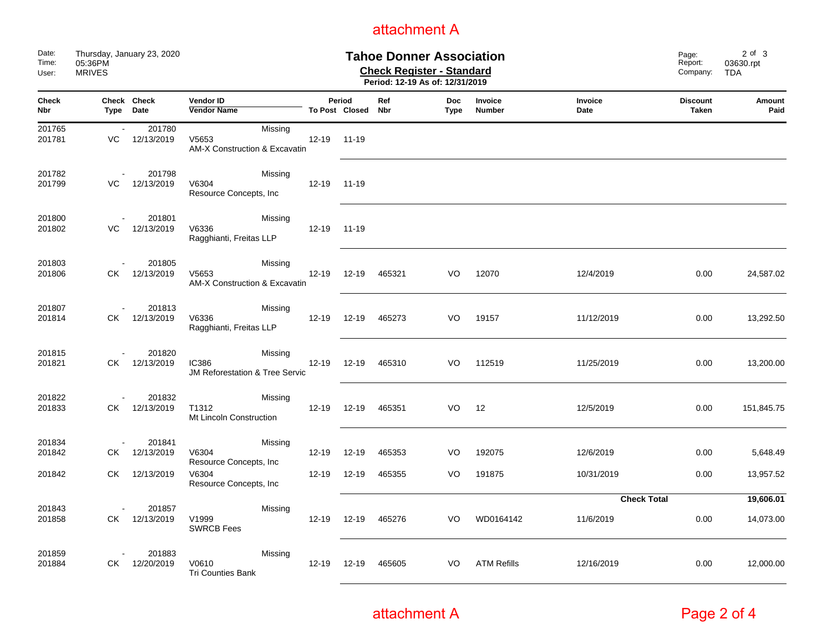| Date:<br>Time:<br>User:    | Thursday, January 23, 2020<br>05:36PM<br><b>MRIVES</b> |                      | <b>Tahoe Donner Association</b><br><b>Check Register - Standard</b><br>Period: 12-19 As of: 12/31/2019 |           |                          |                   |                    |                    |                    | Page:<br>Report:<br>Company: | $2$ of $3$<br>03630.rpt<br><b>TDA</b> |
|----------------------------|--------------------------------------------------------|----------------------|--------------------------------------------------------------------------------------------------------|-----------|--------------------------|-------------------|--------------------|--------------------|--------------------|------------------------------|---------------------------------------|
| <b>Check</b><br><b>Nbr</b> | Type                                                   | Check Check<br>Date  | <b>Vendor ID</b><br><b>Vendor Name</b>                                                                 |           | Period<br>To Post Closed | Ref<br><b>Nbr</b> | <b>Doc</b><br>Type | Invoice<br>Number  | Invoice<br>Date    | <b>Discount</b><br>Taken     | Amount<br>Paid                        |
| 201765<br>201781           | $\sim$<br>VC                                           | 201780<br>12/13/2019 | Missing<br>V5653<br><b>AM-X Construction &amp; Excavatin</b>                                           | $12 - 19$ | 11-19                    |                   |                    |                    |                    |                              |                                       |
| 201782<br>201799           | VC                                                     | 201798<br>12/13/2019 | Missing<br>V6304<br>Resource Concepts, Inc                                                             | $12 - 19$ | $11 - 19$                |                   |                    |                    |                    |                              |                                       |
| 201800<br>201802           | VC.                                                    | 201801<br>12/13/2019 | Missing<br>V6336<br>Ragghianti, Freitas LLP                                                            | $12 - 19$ | $11 - 19$                |                   |                    |                    |                    |                              |                                       |
| 201803<br>201806           | СK                                                     | 201805<br>12/13/2019 | Missing<br>V5653<br><b>AM-X Construction &amp; Excavatin</b>                                           | $12 - 19$ | 12-19                    | 465321            | VO                 | 12070              | 12/4/2019          | 0.00                         | 24,587.02                             |
| 201807<br>201814           | СK                                                     | 201813<br>12/13/2019 | Missing<br>V6336<br>Ragghianti, Freitas LLP                                                            | $12 - 19$ | 12-19                    | 465273            | VO                 | 19157              | 11/12/2019         | 0.00                         | 13,292.50                             |
| 201815<br>201821           | СK                                                     | 201820<br>12/13/2019 | Missing<br><b>IC386</b><br><b>JM Reforestation &amp; Tree Servic</b>                                   | $12 - 19$ | 12-19                    | 465310            | VO                 | 112519             | 11/25/2019         | 0.00                         | 13,200.00                             |
| 201822<br>201833           | СK                                                     | 201832<br>12/13/2019 | Missing<br>T1312<br>Mt Lincoln Construction                                                            | 12-19     | 12-19                    | 465351            | VO                 | 12                 | 12/5/2019          | 0.00                         | 151,845.75                            |
| 201834<br>201842           | СK                                                     | 201841<br>12/13/2019 | Missing<br>V6304<br>Resource Concepts, Inc                                                             | $12 - 19$ | $12 - 19$                | 465353            | VO                 | 192075             | 12/6/2019          | 0.00                         | 5,648.49                              |
| 201842                     | СK                                                     | 12/13/2019           | V6304<br>Resource Concepts, Inc.                                                                       | $12 - 19$ | $12 - 19$                | 465355            | VO                 | 191875             | 10/31/2019         | 0.00                         | 13,957.52                             |
| 201843                     |                                                        | 201857               | Missing                                                                                                |           |                          |                   |                    |                    | <b>Check Total</b> |                              | 19,606.01                             |
| 201858                     | СK                                                     | 12/13/2019           | V1999<br><b>SWRCB Fees</b>                                                                             | $12 - 19$ | 12-19                    | 465276            | VO                 | WD0164142          | 11/6/2019          | 0.00                         | 14,073.00                             |
| 201859<br>201884           | СK                                                     | 201883<br>12/20/2019 | Missing<br>V0610<br><b>Tri Counties Bank</b>                                                           | $12 - 19$ | 12-19                    | 465605            | VO                 | <b>ATM Refills</b> | 12/16/2019         | 0.00                         | 12,000.00                             |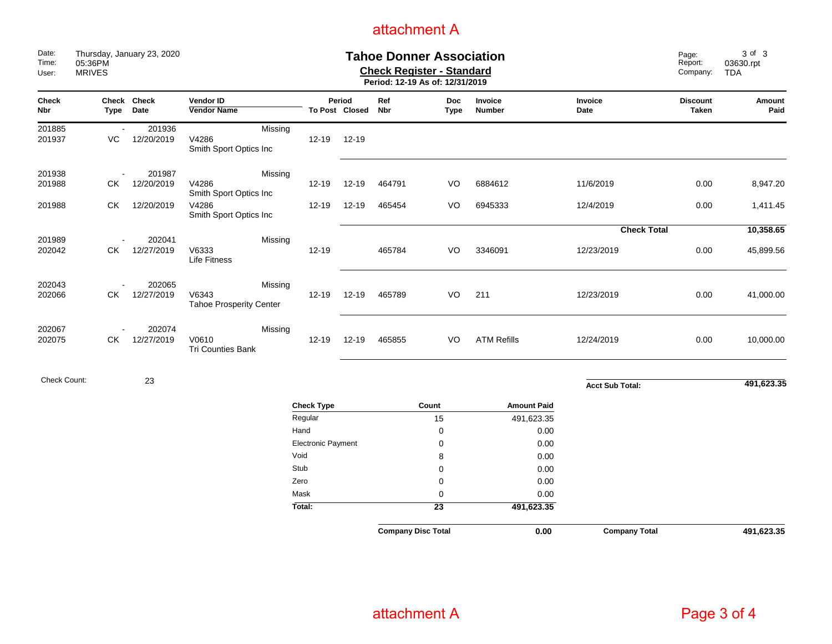| Date:<br>Time:<br>User: | Thursday, January 23, 2020<br>05:36PM<br><b>MRIVES</b> |                      |                                                    |                    |                          |            | <b>Tahoe Donner Association</b><br><b>Check Register - Standard</b><br>Period: 12-19 As of: 12/31/2019 |                    |                        |                                 | 3 of 3<br>03630.rpt<br><b>TDA</b> |
|-------------------------|--------------------------------------------------------|----------------------|----------------------------------------------------|--------------------|--------------------------|------------|--------------------------------------------------------------------------------------------------------|--------------------|------------------------|---------------------------------|-----------------------------------|
| <b>Check</b><br>Nbr     | Type                                                   | Check Check<br>Date  | Vendor ID<br><b>Vendor Name</b>                    |                    | Period<br>To Post Closed | Ref<br>Nbr | <b>Doc</b><br>Type                                                                                     | Invoice<br>Number  | Invoice<br>Date        | <b>Discount</b><br><b>Taken</b> | Amount<br>Paid                    |
| 201885<br>201937        | VC                                                     | 201936<br>12/20/2019 | Missing<br>V4286<br>Smith Sport Optics Inc         | $12 - 19$          | 12-19                    |            |                                                                                                        |                    |                        |                                 |                                   |
| 201938<br>201988        | $\overline{\phantom{a}}$<br>СK                         | 201987<br>12/20/2019 | Missing<br>V4286<br>Smith Sport Optics Inc         | $12 - 19$          | $12 - 19$                | 464791     | VO                                                                                                     | 6884612            | 11/6/2019              | 0.00                            | 8,947.20                          |
| 201988                  | СK                                                     | 12/20/2019           | V4286<br>Smith Sport Optics Inc                    | $12 - 19$          | $12 - 19$                | 465454     | VO                                                                                                     | 6945333            | 12/4/2019              | 0.00                            | 1,411.45                          |
|                         |                                                        |                      |                                                    |                    |                          |            |                                                                                                        |                    | <b>Check Total</b>     |                                 | 10,358.65                         |
| 201989<br>202042        | СK                                                     | 202041<br>12/27/2019 | Missing<br>V6333<br><b>Life Fitness</b>            | $12 - 19$          |                          | 465784     | VO                                                                                                     | 3346091            | 12/23/2019             | 0.00                            | 45,899.56                         |
| 202043<br>202066        | СK                                                     | 202065<br>12/27/2019 | Missing<br>V6343<br><b>Tahoe Prosperity Center</b> | $12 - 19$          | $12 - 19$                | 465789     | VO                                                                                                     | 211                | 12/23/2019             | 0.00                            | 41,000.00                         |
| 202067<br>202075        | СK                                                     | 202074<br>12/27/2019 | Missing<br>V0610<br><b>Tri Counties Bank</b>       | $12 - 19$          | $12 - 19$                | 465855     | VO                                                                                                     | <b>ATM Refills</b> | 12/24/2019             | 0.00                            | 10,000.00                         |
| <b>Check Count:</b>     |                                                        | 23                   |                                                    |                    |                          |            |                                                                                                        |                    | <b>Acct Sub Total:</b> |                                 | 491,623.35                        |
|                         |                                                        |                      |                                                    | <b>Check Type</b>  |                          |            | Count                                                                                                  | <b>Amount Paid</b> |                        |                                 |                                   |
|                         |                                                        |                      |                                                    | Regular            |                          |            | 15                                                                                                     | 491,623.35         |                        |                                 |                                   |
|                         |                                                        |                      |                                                    | Hand               |                          |            | $\pmb{0}$                                                                                              | 0.00               |                        |                                 |                                   |
|                         |                                                        |                      |                                                    | Electronic Payment |                          |            | $\mathbf 0$                                                                                            | 0.00               |                        |                                 |                                   |
|                         |                                                        |                      |                                                    | Void               |                          |            | 8                                                                                                      | 0.00               |                        |                                 |                                   |
|                         |                                                        |                      |                                                    | Stub               |                          |            | $\mathbf 0$                                                                                            | 0.00               |                        |                                 |                                   |
|                         |                                                        |                      |                                                    | Zero               |                          |            | $\mathbf 0$                                                                                            | 0.00               |                        |                                 |                                   |
|                         |                                                        |                      |                                                    | Mask               |                          |            | $\pmb{0}$                                                                                              | 0.00               |                        |                                 |                                   |
|                         |                                                        |                      |                                                    | Total:             |                          |            | $\overline{23}$                                                                                        | 491,623.35         |                        |                                 |                                   |
|                         |                                                        |                      |                                                    |                    |                          |            | <b>Company Disc Total</b>                                                                              | 0.00               | <b>Company Total</b>   |                                 | 491.623.35                        |